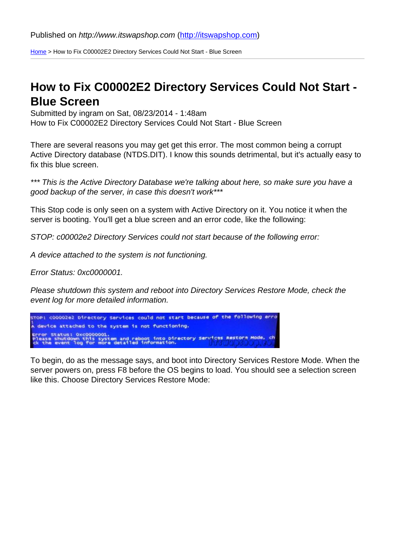Home > How to Fix C00002E2 Directory Services Could Not Start - Blue Screen

## [How](http://itswapshop.com/) to Fix C00002E2 Directory Services Could Not Start - Blue Screen

Submitted by ingram on Sat, 08/23/2014 - 1:48am How to Fix C00002E2 Directory Services Could Not Start - Blue Screen

There are several reasons you may get get this error. The most common being a corrupt Active Directory database (NTDS.DIT). I know this sounds detrimental, but it's actually easy to fix this blue screen.

\*\*\* This is the Active Directory Database we're talking about here, so make sure you have a good backup of the server, in case this doesn't work\*\*\*

This Stop code is only seen on a system with Active Directory on it. You notice it when the server is booting. You'll get a blue screen and an error code, like the following:

STOP: c00002e2 Directory Services could not start because of the following error:

A device attached to the system is not functioning.

Error Status: 0xc0000001.

Please shutdown this system and reboot into Directory Services Restore Mode, check the event log for more detailed information.

To begin, do as the message says, and boot into Directory Services Restore Mode. When the server powers on, press F8 before the OS begins to load. You should see a selection screen like this. Choose Directory Services Restore Mode: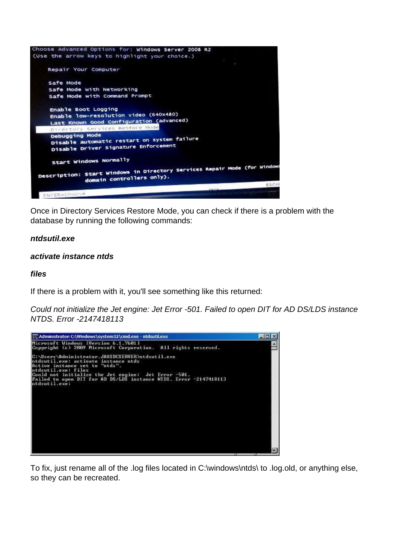

Once in Directory Services Restore Mode, you can check if there is a problem with the database by running the following commands:

## **ntdsutil.exe**

## **activate instance ntds**

## **files**

If there is a problem with it, you'll see something like this returned:

Could not initialize the Jet engine: Jet Error -501. Failed to open DIT for AD DS/LDS instance NTDS. Error -2147418113



To fix, just rename all of the .log files located in C:\windows\ntds\ to .log.old, or anything else, so they can be recreated.